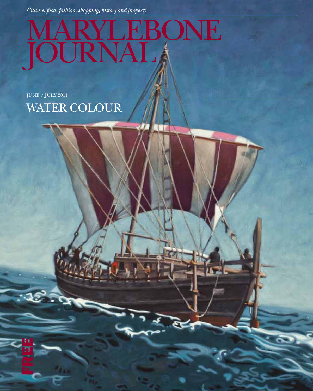*Culture, food, fashion, shopping, history and property*

## MARYLEBONE JOURNAL

JUNE / JULY 2011

n<br>Fr

 $33.9$ 

WATER COLOUR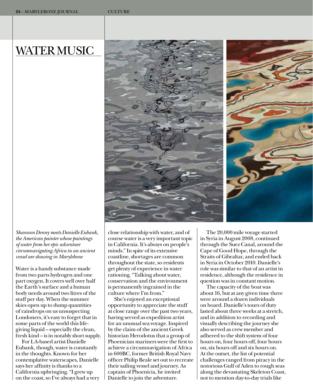## **WATER MUSIC**





Water is a handy substance made from two parts hydrogen and one part oxygen. It covers well over half the Earth's surface and a human body needs around two litres of the stuff per day. When the summer skies open up to dump quantities of raindrops on us unsuspecting Londoners, it's easy to forget that in some parts of the world this lifegiving liquid – especially the clean, fresh kind – is in notably short supply.

For LA-based artist Danielle Eubank, though, water is constantly in the thoughts. Known for her contemplative waterscapes, Danielle says her affinity is thanks to a california upbringing. "I grew up on the coast, so I've always had a very close relationship with water, and of course water is a very important topic in california. It's always on people's minds." In spite of its extensive coastline, shortages are common throughout the state, so residents get plenty of experience in water rationing. "Talking about water, conservation and the environment is permanently ingrained in the culture where I'm from."

She's enjoyed an exceptional opportunity to appreciate the stuff at close range over the past two years, having served as expedition artist for an unusual sea voyage. Inspired by the claim of the ancient Greek historian Herodotus that a group of Phoenician mariners were the first to achieve a circumnavigation of Africa in 600Bc, former British Royal Navy officer Philip Beale set out to recreate their sailing vessel and journey. As captain of Phoenicia, he invited Danielle to join the adventure.

The 20,000 mile voyage started in Syria in August 2008, continued through the Suez canal, around the cape of Good Hope, through the Straits of Gibraltar, and ended back in Syria in October 2010. Danielle's role was similar to that of an artist in residence, although the residence in question was in constant motion.

The capacity of the boat was about 16, but at any given time there were around a dozen individuals on board. Danielle's tours of duty lasted about three weeks at a stretch, and in addition to recording and visually describing the journey she also served as crew member and adhered to the shift system of four hours on, four hours off, four hours on, six hours off and six hours on. At the outset, the list of potential challenges ranged from piracy in the notorious Gulf of Aden to rough seas along the devastating Skeleton coast, not to mention day-to-day trials like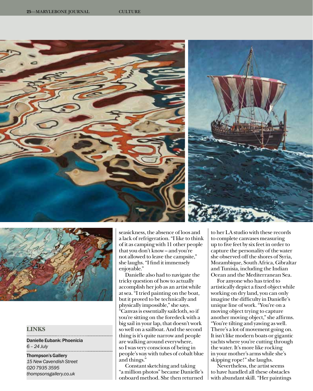



## **LINKS**

Danielle Eubank: Phoenicia *6 – 24 July* 

Thompson's Gallery *15 New Cavendish Street 020 7935 3595 thompsonsgallery.co.uk*

seasickness, the absence of loos and a lack of refrigeration. "I like to think of it as camping with 11 other people that you don't know – and you're not allowed to leave the campsite," she laughs. "I find it immensely enjoyable."

Danielle also had to navigate the tricky question of how to actually accomplish her job as an artist while at sea. "I tried painting on the boat, but it proved to be technically and physically impossible," she says. "canvas is essentially sailcloth, so if you're sitting on the foredeck with a big sail in your lap, that doesn't work so well on a sailboat. And the second thing is it's quite narrow and people are walking around everywhere, so I was very conscious of being in people's way with tubes of cobalt blue and things."

constant sketching and taking "a million photos" became Danielle's onboard method. She then returned to her LA studio with these records to complete canvases measuring up to five feet by six feet in order to capture the personality of the water she observed off the shores of Syria, Mozambique, South Africa, Gibraltar and Tunisia, including the Indian Ocean and the Mediterranean Sea.

For anyone who has tried to artistically depict a fixed object while working on dry land, you can only imagine the difficulty in Danielle's unique line of work. "You're on a moving object trying to capture another moving object," she affirms. "You're tilting and yawing as well. There's a lot of movement going on. It isn't like modern boats or gigantic yachts where you're cutting through the water. It's more like rocking in your mother's arms while she's skipping rope!" she laughs.

Nevertheless, the artist seems to have handled all these obstacles with abundant skill. "Her paintings